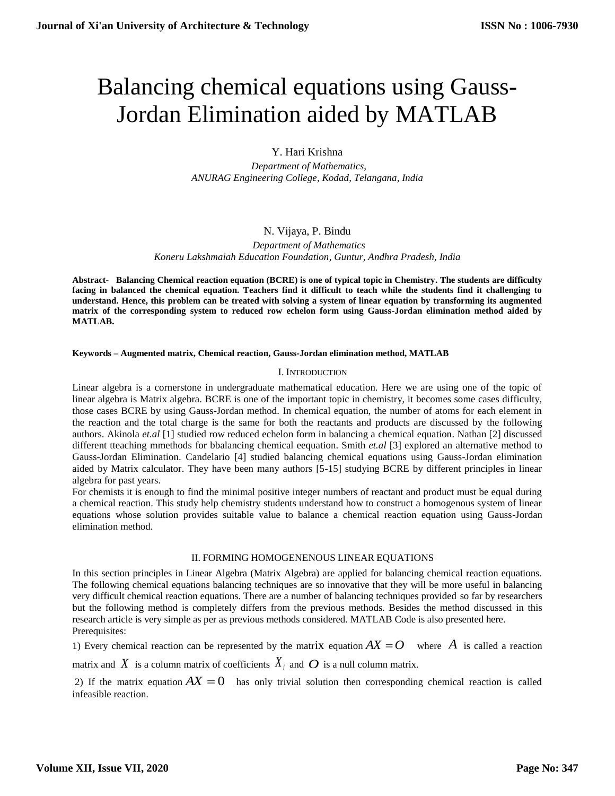# Balancing chemical equations using Gauss-Jordan Elimination aided by MATLAB

# Y. Hari Krishna

 *Department of Mathematics, ANURAG Engineering College, Kodad, Telangana, India*

## N. Vijaya, P. Bindu

 *Department of Mathematics Koneru Lakshmaiah Education Foundation, Guntur, Andhra Pradesh, India*

**Abstract- Balancing Chemical reaction equation (BCRE) is one of typical topic in Chemistry. The students are difficulty facing in balanced the chemical equation. Teachers find it difficult to teach while the students find it challenging to understand. Hence, this problem can be treated with solving a system of linear equation by transforming its augmented matrix of the corresponding system to reduced row echelon form using Gauss-Jordan elimination method aided by MATLAB.** 

## **Keywords – Augmented matrix, Chemical reaction, Gauss-Jordan elimination method, MATLAB**

## I. INTRODUCTION

Linear algebra is a cornerstone in undergraduate mathematical education. Here we are using one of the topic of linear algebra is Matrix algebra. BCRE is one of the important topic in chemistry, it becomes some cases difficulty, those cases BCRE by using Gauss-Jordan method. In chemical equation, the number of atoms for each element in the reaction and the total charge is the same for both the reactants and products are discussed by the following authors. Akinola *et.al* [1] studied row reduced echelon form in balancing a chemical equation. Nathan [2] discussed different tteaching mmethods for bbalancing chemical eequation. Smith *et.al* [3] explored an alternative method to Gauss-Jordan Elimination. Candelario [4] studied balancing chemical equations using Gauss-Jordan elimination aided by Matrix calculator. They have been many authors [5-15] studying BCRE by different principles in linear algebra for past years.

For chemists it is enough to find the minimal positive integer numbers of reactant and product must be equal during a chemical reaction. This study help chemistry students understand how to construct a homogenous system of linear equations whose solution provides suitable value to balance a chemical reaction equation using Gauss-Jordan elimination method.

## II. FORMING HOMOGENENOUS LINEAR EQUATIONS

In this section principles in Linear Algebra (Matrix Algebra) are applied for balancing chemical reaction equations. The following chemical equations balancing techniques are so innovative that they will be more useful in balancing very difficult chemical reaction equations. There are a number of balancing techniques provided so far by researchers but the following method is completely differs from the previous methods. Besides the method discussed in this research article is very simple as per as previous methods considered. MATLAB Code is also presented here. Prerequisites:

1) Every chemical reaction can be represented by the matrix equation  $AX = O$  where A is called a reaction

matrix and  $X$  is a column matrix of coefficients  $X_i$  and  $O$  is a null column matrix.

2) If the matrix equation  $AX = 0$  has only trivial solution then corresponding chemical reaction is called infeasible reaction.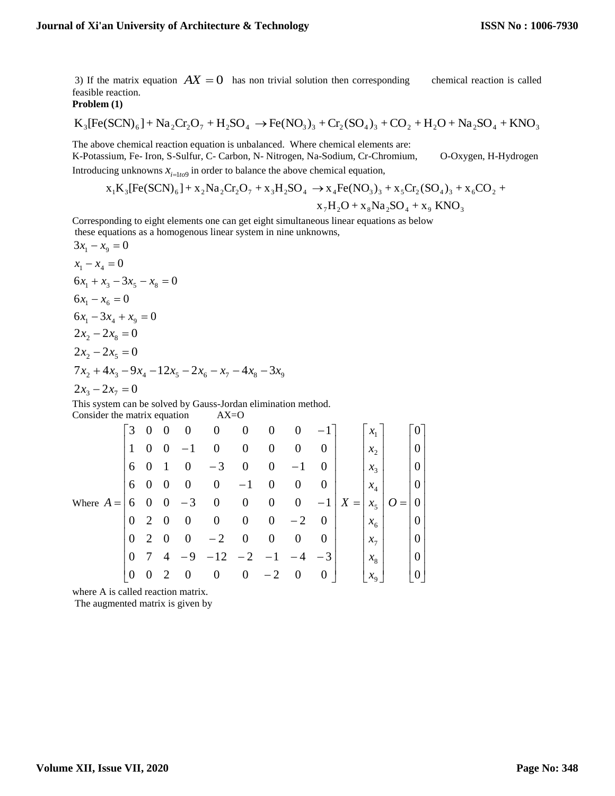3) If the matrix equation  $AX = 0$  has non trivial solution then corresponding chemical reaction is called feasible reaction.

**Problem (1)** 

$$
K_{3}[Fe(SCN)_{6}] + Na_{2}Cr_{2}O_{7} + H_{2}SO_{4} \rightarrow Fe(NO_{3})_{3} + Cr_{2}(SO_{4})_{3} + CO_{2} + H_{2}O + Na_{2}SO_{4} + KNO_{3}
$$

The above chemical reaction equation is unbalanced. Where chemical elements are: K-Potassium, Fe- Iron, S-Sulfur, C- Carbon, N- Nitrogen, Na-Sodium, Cr-Chromium, O-Oxygen, H-Hydrogen Introducing unknowns  $x_{i=1to}$  in order to balance the above chemical equation,

$$
x_1K_3[Fe(SCN)_6] + x_2Na_2Cr_2O_7 + x_3H_2SO_4 \rightarrow x_4Fe(NO_3)_3 + x_5Cr_2(SO_4)_3 + x_6CO_2 + x_7H_2O + x_8Na_2SO_4 + x_9 KNO_3
$$

Corresponding to eight elements one can get eight simultaneous linear equations as below these equations as a homogenous linear system in nine unknowns,

these equations as a homogeneous linear system in time a  
\n
$$
3x_1 - x_9 = 0
$$
  
\n $x_1 - x_4 = 0$   
\n $6x_1 + x_3 - 3x_5 - x_8 = 0$   
\n $6x_1 - x_6 = 0$   
\n $6x_1 - 3x_4 + x_9 = 0$   
\n $2x_2 - 2x_8 = 0$   
\n $2x_2 - 2x_5 = 0$   
\n $7x_2 + 4x_3 - 9x_4 - 12x_5 - 2x_6 - x_7 - 4x_8 - 3x_9$   
\n $2x_3 - 2x_7 = 0$ 

This system can be solved by Gauss-Jordan elimination method. Consider the matrix equation AX=O

|                     | 3            | $0\quad 0$     |                | $\overline{\phantom{0}}$ | $\theta$         | $\overline{0}$   | $\boldsymbol{0}$ | $\boldsymbol{0}$ |                | $\mathcal{X}_1$        |     |          |  |
|---------------------|--------------|----------------|----------------|--------------------------|------------------|------------------|------------------|------------------|----------------|------------------------|-----|----------|--|
| Where $A =   6 \ 0$ | 1            | $\theta$       | $\theta$       | $-1$                     | $\boldsymbol{0}$ | $\boldsymbol{0}$ | $\boldsymbol{0}$ | $\boldsymbol{0}$ | $\overline{0}$ | $\mathcal{X}_{\gamma}$ |     |          |  |
|                     | 6            | $\theta$       |                | $\overline{0}$           | $-3$             | $\boldsymbol{0}$ | $\theta$         | $-1$             | $\Omega$       | $x_3$                  |     |          |  |
|                     | 6            | $\overline{0}$ | $\overline{0}$ | $\boldsymbol{0}$         | $\boldsymbol{0}$ | $-1$             | $\boldsymbol{0}$ | $\boldsymbol{0}$ | $\overline{0}$ | $x_4$                  |     |          |  |
|                     |              |                | $\overline{0}$ | $-3$                     | $\boldsymbol{0}$ | $\boldsymbol{0}$ | $\overline{0}$   | $\overline{0}$   |                | $-1 \mid X =$<br>$x_5$ | $=$ | $\theta$ |  |
|                     | $\mathbf{0}$ | 2              | $\overline{0}$ | $\boldsymbol{0}$         | $\boldsymbol{0}$ | $\boldsymbol{0}$ | $\boldsymbol{0}$ | $-2$             | $\Omega$       | $x_{6}$                |     |          |  |
|                     | $\mathbf{0}$ | 2              | $\overline{0}$ | $\boldsymbol{0}$         | $-2$             | $\boldsymbol{0}$ | $\theta$         | $\boldsymbol{0}$ | $\theta$       | $\chi_{7}$             |     | 0        |  |
|                     | $\theta$     | 7              | $\overline{4}$ | -9                       | $-12$            | $-2$             | $-1$             | - 4              | $-3$           | $\mathcal{X}_{\Omega}$ |     |          |  |
|                     | $\theta$     | $\theta$       | 2              | $\theta$                 | $\theta$         | $\theta$         | $-2$             | $\boldsymbol{0}$ | $\Omega$       | $x_{\rm q}$            |     |          |  |

where A is called reaction matrix.

The augmented matrix is given by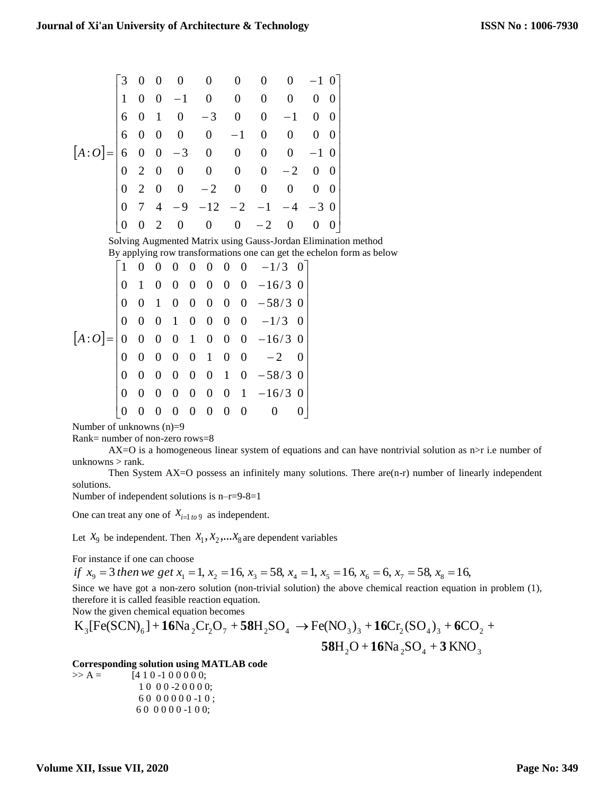$$
[A:O] = \begin{bmatrix} 3 & 0 & 0 & 0 & 0 & 0 & 0 & 0 & -1 & 0 \\ 1 & 0 & 0 & -1 & 0 & 0 & 0 & 0 & 0 & 0 \\ 6 & 0 & 1 & 0 & -3 & 0 & 0 & -1 & 0 & 0 \\ 6 & 0 & 0 & 0 & 0 & -1 & 0 & 0 & 0 & 0 \\ 6 & 0 & 0 & -3 & 0 & 0 & 0 & 0 & -1 & 0 \\ 0 & 2 & 0 & 0 & 0 & 0 & 0 & -2 & 0 & 0 \\ 0 & 2 & 0 & 0 & -2 & 0 & 0 & 0 & 0 & 0 \\ 0 & 7 & 4 & -9 & -12 & -2 & -1 & -4 & -3 & 0 \\ 0 & 0 & 2 & 0 & 0 & 0 & -2 & 0 & 0 & 0 \end{bmatrix}
$$
  
Solving Augmented Matrix using Gauss-Jordan Elimination method

By applying row transformations one can get the echelon form as below

| $[A:O] = \begin{vmatrix} 0 & 0 & 0 & 1 & 0 & 0 & 0 & 0 & -1/3 & 0 \\ 0 & 0 & 0 & 0 & 1 & 0 & 0 & 0 & -16/3 & 0 \end{vmatrix}$ |  |  |  |  | $\begin{bmatrix} 1 & 0 & 0 & 0 & 0 & 0 & 0 & 0 & -1/3 & 0 \\ 0 & 1 & 0 & 0 & 0 & 0 & 0 & 0 & -16/3 & 0 \end{bmatrix}$     |  |
|-------------------------------------------------------------------------------------------------------------------------------|--|--|--|--|---------------------------------------------------------------------------------------------------------------------------|--|
|                                                                                                                               |  |  |  |  | $0 \t 0 \t 1 \t 0 \t 0 \t 0 \t 0 \t 0 \t -58/3 \t 0$                                                                      |  |
|                                                                                                                               |  |  |  |  |                                                                                                                           |  |
|                                                                                                                               |  |  |  |  |                                                                                                                           |  |
|                                                                                                                               |  |  |  |  |                                                                                                                           |  |
|                                                                                                                               |  |  |  |  | $\begin{array}{cccccccc} 0 & 0 & 0 & 0 & 0 & 1 & 0 & 0 & -2 & 0 \\ 0 & 0 & 0 & 0 & 0 & 0 & 1 & 0 & -58/3 & 0 \end{array}$ |  |
|                                                                                                                               |  |  |  |  | $0 \t 0 \t 0 \t 0 \t 0 \t 0 \t 0 \t 1 \t -16/3 \t 0$                                                                      |  |
|                                                                                                                               |  |  |  |  | $0 \t0 \t0 \t0 \t0 \t0 \t0$                                                                                               |  |

Number of unknowns (n)=9

Rank= number of non-zero rows=8

 $AX=O$  is a homogeneous linear system of equations and can have nontrivial solution as  $n > r$  i.e number of unknowns > rank.

Then System  $AX=O$  possess an infinitely many solutions. There  $are(n-r)$  number of linearly independent solutions.

Number of independent solutions is n–r=9-8=1

One can treat any one of  $X_{i=1}$  *to* 9 as independent.

Let  $X_9$  be independent. Then  $X_1, X_2, \ldots X_8$  are dependent variables

For instance if one can choose

if  $x_9 = 3$  then we get  $x_1 = 1$ ,  $x_2 = 16$ ,  $x_3 = 58$ ,  $x_4 = 1$ ,  $x_5 = 16$ ,  $x_6 = 6$ ,  $x_7 = 58$ ,  $x_8 = 16$ ,

Since we have got a non-zero solution (non-trivial solution) the above chemical reaction equation in problem (1), therefore it is called feasible reaction equation.

Now the given chemical equation becomes

$$
K_{3}[Fe(SCN)_{6}] + 16Na_{2}Cr_{2}O_{7} + 58H_{2}SO_{4} \rightarrow Fe(NO_{3})_{3} + 16Cr_{2}(SO_{4})_{3} + 6CO_{2} + 58H_{2}O + 16Na_{2}SO_{4} + 3KNO_{3}
$$

**Corresponding solution using MATLAB code**

 $>> A =$  [4 1 0 -1 0 0 0 0 0; 1 0 0 0 -2 0 0 0 0; 6 0 0 0 0 0 0 -1 0 ; 6 0 0 0 0 0 -1 0 0;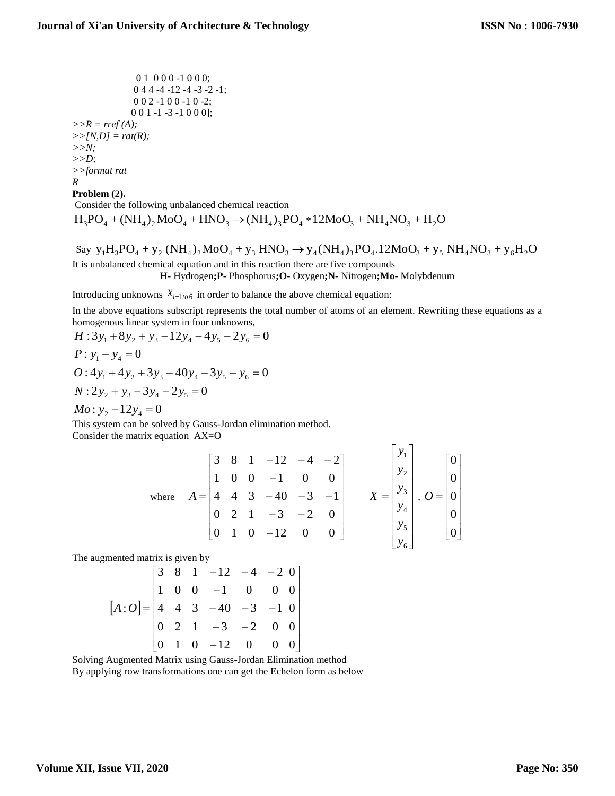0 1 0 0 0 -1 0 0 0; 0 4 4 -4 -12 -4 -3 -2 -1; 0 0 2 -1 0 0 -1 0 -2; 0 0 1 -1 -3 -1 0 0 0]; *>>R = rref (A); >>[N,D] = rat(R); >>N; >>D; >>format rat R* **Problem (2).** 

Consider the following unbalanced chemical reaction  $H_3PO_4 + (NH_4)_2MoO_4 + HNO_3 \rightarrow (NH_4)_3PO_4 * 12MoO_3 + NH_4NO_3 + H_2O$ 

Say  $y_1H_3PO_4 + y_2(NH_4)_2MO_4 + y_3 HNO_3 \rightarrow y_4(NH_4)_3PO_4.12MO_3 + y_5NH_4NO_3 + y_6H_2O_4$ It is unbalanced chemical equation and in this reaction there are five compounds **H-** Hydrogen**;P-** Phosphorus**;O-** Oxygen**;N-** Nitrogen**;Mo-** Molybdenum

Introducing unknowns  $X_{i=1}$  to 6 in order to balance the above chemical equation:

In the above equations subscript represents the total number of atoms of an element. Rewriting these equations as a homogenous linear system in four unknowns,

$$
H: 3y_1 + 8y_2 + y_3 - 12y_4 - 4y_5 - 2y_6 = 0
$$
  
\n
$$
P: y_1 - y_4 = 0
$$
  
\n
$$
O: 4y_1 + 4y_2 + 3y_3 - 40y_4 - 3y_5 - y_6 = 0
$$
  
\n
$$
N: 2y_2 + y_3 - 3y_4 - 2y_5 = 0
$$
  
\n
$$
Mo: y_2 - 12y_4 = 0
$$

This system can be solved by Gauss-Jordan elimination method. Consider the matrix equation AX=O

where 
$$
A = \begin{bmatrix} 3 & 8 & 1 & -12 & -4 & -2 \\ 1 & 0 & 0 & -1 & 0 & 0 \\ 4 & 4 & 3 & -40 & -3 & -1 \\ 0 & 2 & 1 & -3 & -2 & 0 \\ 0 & 1 & 0 & -12 & 0 & 0 \end{bmatrix}
$$
  $X = \begin{bmatrix} y_1 \\ y_2 \\ y_3 \\ y_4 \\ y_5 \\ y_6 \end{bmatrix}$ ,  $O = \begin{bmatrix} 0 \\ 0 \\ 0 \\ 0 \\ 0 \end{bmatrix}$ 

 $\blacksquare$ 

The augmented matrix is given by

$$
[A:O] = \begin{bmatrix} 3 & 8 & 1 & -12 & -4 & -2 & 0 \\ 1 & 0 & 0 & -1 & 0 & 0 & 0 \\ 4 & 4 & 3 & -40 & -3 & -1 & 0 \\ 0 & 2 & 1 & -3 & -2 & 0 & 0 \\ 0 & 1 & 0 & -12 & 0 & 0 & 0 \end{bmatrix}
$$

Solving Augmented Matrix using Gauss-Jordan Elimination method By applying row transformations one can get the Echelon form as below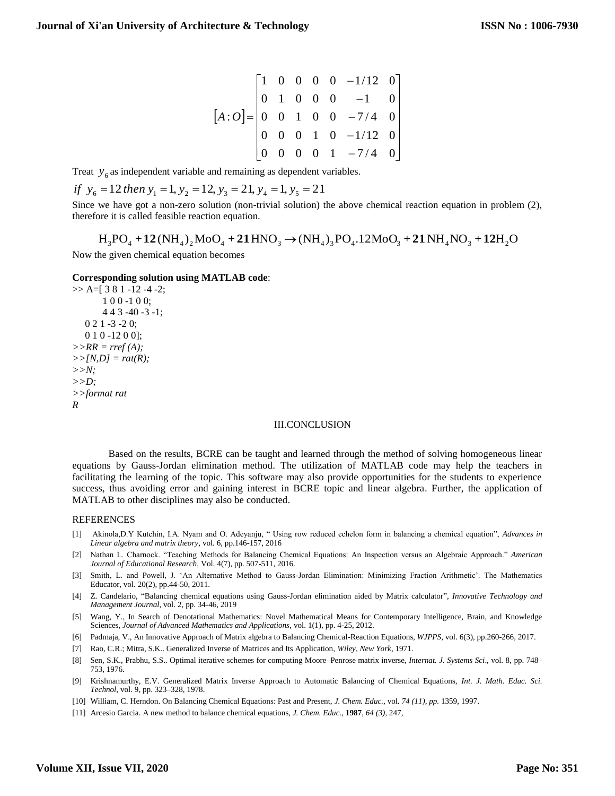$$
[A:O] = \begin{bmatrix} 1 & 0 & 0 & 0 & 0 & -1/12 & 0 \\ 0 & 1 & 0 & 0 & 0 & -1 & 0 \\ 0 & 0 & 1 & 0 & 0 & -7/4 & 0 \\ 0 & 0 & 0 & 1 & 0 & -1/12 & 0 \\ 0 & 0 & 0 & 0 & 1 & -7/4 & 0 \end{bmatrix}
$$

Treat  $y_6$  as independent variable and remaining as dependent variables.

if 
$$
y_6 = 12
$$
 then  $y_1 = 1$ ,  $y_2 = 12$ ,  $y_3 = 21$ ,  $y_4 = 1$ ,  $y_5 = 21$ 

Since we have got a non-zero solution (non-trivial solution) the above chemical reaction equation in problem (2), therefore it is called feasible reaction equation.

Now the given chemical equation becomes  $\rm H_3PO_4 + 12(NH_4)_2MoO_4 + 21HNO_3 \rightarrow (NH_4)_3PO_4.12MoO_3 + 21NH_4NO_3 + 12H_2O_4$ 

#### **Corresponding solution using MATLAB code**:

```
>> A=[ 3 8 1 -12 -4 -2;
        1 0 0 -1 0 0;
        4 4 3 -40 -3 -1;
   0 2 1 -3 -2 0;
  010 - 1200;
>>RR = rref (A);
>>[N,D] = rat(R);
>>N;
>>D;
>>format rat
R
```
#### III.CONCLUSION

Based on the results, BCRE can be taught and learned through the method of solving homogeneous linear equations by Gauss-Jordan elimination method. The utilization of MATLAB code may help the teachers in facilitating the learning of the topic. This software may also provide opportunities for the students to experience success, thus avoiding error and gaining interest in BCRE topic and linear algebra. Further, the application of MATLAB to other disciplines may also be conducted.

#### REFERENCES

- [1] Akinola,D.Y Kutchin, I.A. Nyam and O. Adeyanju, " Using row reduced echelon form in balancing a chemical equation", *Advances in Linear algebra and matrix theory*, vol. 6, pp.146-157, 2016
- [2] Nathan L. Charnock. "Teaching Methods for Balancing Chemical Equations: An Inspection versus an Algebraic Approach." *American Journal of Educational Research*, Vol. 4(7), pp. 507-511, 2016.
- [3] Smith, L. and Powell, J. 'An Alternative Method to Gauss-Jordan Elimination: Minimizing Fraction Arithmetic'. The Mathematics Educator, vol. 20(2), pp.44-50, 2011.
- [4] Z. Candelario, "Balancing chemical equations using Gauss-Jordan elimination aided by Matrix calculator", *Innovative Technology and Management Journal*, vol. 2, pp. 34-46, 2019
- [5] Wang, Y., In Search of Denotational Mathematics: Novel Mathematical Means for Contemporary Intelligence, Brain, and Knowledge Sciences, *Journal of Advanced Mathematics and Applications*, vol. 1(1), pp. 4-25, 2012.
- [6] Padmaja, V., An Innovative Approach of Matrix algebra to Balancing Chemical-Reaction Equations, *WJPPS*, vol. 6(3), pp.260-266, 2017.
- [7] Rao, C.R.; Mitra, S.K.. Generalized Inverse of Matrices and Its Application, *Wiley, New York*, 1971.
- [8] Sen, S.K., Prabhu, S.S.. Optimal iterative schemes for computing Moore–Penrose matrix inverse, *Internat. J. Systems Sci*., vol. 8, pp. 748– 753, 1976.
- [9] Krishnamurthy, E.V. Generalized Matrix Inverse Approach to Automatic Balancing of Chemical Equations, *Int. J. Math. Educ. Sci. Technol*, vol. 9, pp. 323–328, 1978.
- [10] [William, C. Herndon.](https://pubs.acs.org/author/Herndon%2C+William+C) On Balancing Chemical Equations: Past and Present, *J. Chem. Educ.*, vol. *74 (11), pp.* 1359, 1997.
- [11] [Arcesio Garcia.](https://pubs.acs.org/author/Garcia%2C+Arcesio) A new method to balance chemical equations, *J. Chem. Educ.*, **1987**, *64 (3)*, 247,